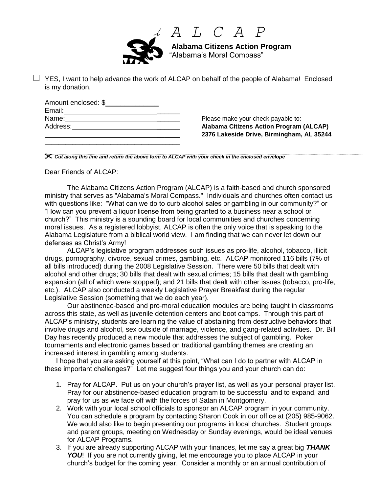

 *A L C A P*

 **Alabama Citizens Action Program** "Alabama's Moral Compass"

 $\Box$  YES, I want to help advance the work of ALCAP on behalf of the people of Alabama! Enclosed is my donation.

| Amount enclosed: \$ |  |
|---------------------|--|
| Email:              |  |
| Name:               |  |
| Address:            |  |
|                     |  |

\_\_\_\_\_\_\_\_\_\_\_\_\_\_\_\_\_\_\_\_\_\_\_\_\_\_\_\_\_\_\_\_\_\_\_\_\_\_\_

Please make your check payable to: **Alabama Citizens Action Program (ALCAP)** \_\_\_\_\_\_ **2376 Lakeside Drive, Birmingham, AL 35244**

*Cut along this line and return the above form to ALCAP with your check in the enclosed envelope*

Dear Friends of ALCAP:

The Alabama Citizens Action Program (ALCAP) is a faith-based and church sponsored ministry that serves as "Alabama's Moral Compass." Individuals and churches often contact us with questions like: "What can we do to curb alcohol sales or gambling in our community?" or "How can you prevent a liquor license from being granted to a business near a school or church?" This ministry is a sounding board for local communities and churches concerning moral issues. As a registered lobbyist, ALCAP is often the only voice that is speaking to the Alabama Legislature from a biblical world view. I am finding that we can never let down our defenses as Christ's Army!

ALCAP's legislative program addresses such issues as pro-life, alcohol, tobacco, illicit drugs, pornography, divorce, sexual crimes, gambling, etc. ALCAP monitored 116 bills (7% of all bills introduced) during the 2008 Legislative Session. There were 50 bills that dealt with alcohol and other drugs; 30 bills that dealt with sexual crimes; 15 bills that dealt with gambling expansion (all of which were stopped); and 21 bills that dealt with other issues (tobacco, pro-life, etc.). ALCAP also conducted a weekly Legislative Prayer Breakfast during the regular Legislative Session (something that we do each year).

Our abstinence-based and pro-moral education modules are being taught in classrooms across this state, as well as juvenile detention centers and boot camps. Through this part of ALCAP's ministry, students are learning the value of abstaining from destructive behaviors that involve drugs and alcohol, sex outside of marriage, violence, and gang-related activities. Dr. Bill Day has recently produced a new module that addresses the subject of gambling. Poker tournaments and electronic games based on traditional gambling themes are creating an increased interest in gambling among students.

I hope that you are asking yourself at this point, "What can I do to partner with ALCAP in these important challenges?" Let me suggest four things you and your church can do:

- 1. Pray for ALCAP. Put us on your church's prayer list, as well as your personal prayer list. Pray for our abstinence-based education program to be successful and to expand, and pray for us as we face off with the forces of Satan in Montgomery.
- 2. Work with your local school officials to sponsor an ALCAP program in your community. You can schedule a program by contacting Sharon Cook in our office at (205) 985-9062. We would also like to begin presenting our programs in local churches. Student groups and parent groups, meeting on Wednesday or Sunday evenings, would be ideal venues for ALCAP Programs.
- 3. If you are already supporting ALCAP with your finances, let me say a great big *THANK*  **YOU!** If you are not currently giving, let me encourage you to place ALCAP in your church's budget for the coming year. Consider a monthly or an annual contribution of